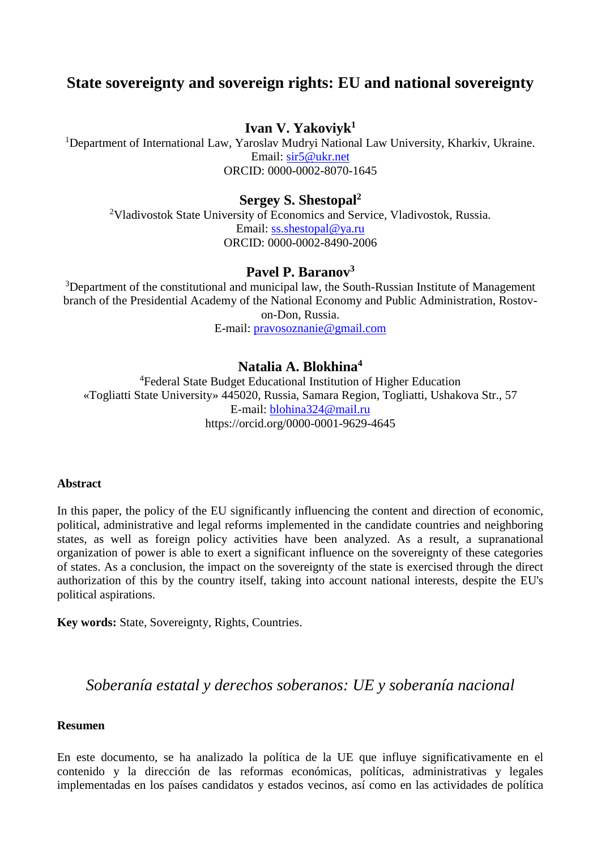# **State sovereignty and sovereign rights: EU and national sovereignty**

# **Ivan V. Yakoviyk<sup>1</sup>**

<sup>1</sup>Department of International Law, Yaroslav Mudryi National Law University, Kharkiv, Ukraine. Email: [sir5@ukr.net](mailto:sir5@ukr.net) ORCID: 0000-0002-8070-1645

**Sergey S. Shestopal<sup>2</sup>**

<sup>2</sup>Vladivostok State University of Economics and Service, Vladivostok, Russia. Email: [ss.shestopal@ya.ru](mailto:ss.shestopal@ya.ru) [ORCID: 0000-0002-8490-2006](https://orcid.org/0000-0002-8490-2006)

# **Pavel P. Baranov<sup>3</sup>**

<sup>3</sup>Department of the constitutional and municipal law, the South-Russian Institute of Management branch of the Presidential Academy of the National Economy and Public Administration, Rostovon-Don, Russia. E-mail: [pravosoznanie@gmail.com](mailto:pravosoznanie@gmail.com)

# **Natalia A. Blokhina<sup>4</sup>**

<sup>4</sup>Federal State Budget Educational Institution of Higher Education «Togliatti State University» 445020, Russia, Samara Region, Togliatti, Ushakova Str., 57 E-mail: [blohina324@mail.ru](mailto:blohina324@mail.ru) https://orcid.org/0000-0001-9629-4645

### **Abstract**

In this paper, the policy of the EU significantly influencing the content and direction of economic, political, administrative and legal reforms implemented in the candidate countries and neighboring states, as well as foreign policy activities have been analyzed. As a result, a supranational organization of power is able to exert a significant influence on the sovereignty of these categories of states. As a conclusion, the impact on the sovereignty of the state is exercised through the direct authorization of this by the country itself, taking into account national interests, despite the EU's political aspirations.

**Key words:** State, Sovereignty, Rights, Countries.

# *Soberanía estatal y derechos soberanos: UE y soberanía nacional*

### **Resumen**

En este documento, se ha analizado la política de la UE que influye significativamente en el contenido y la dirección de las reformas económicas, políticas, administrativas y legales implementadas en los países candidatos y estados vecinos, así como en las actividades de política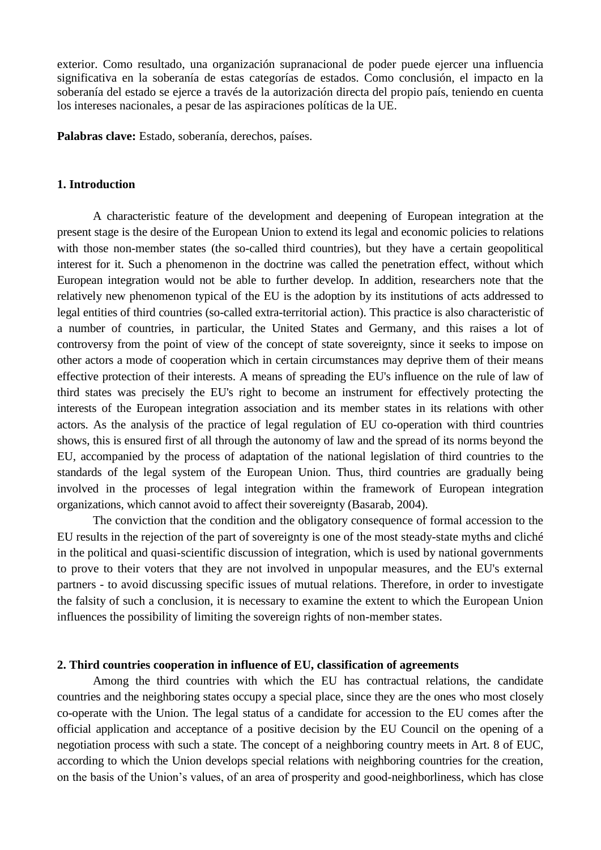exterior. Como resultado, una organización supranacional de poder puede ejercer una influencia significativa en la soberanía de estas categorías de estados. Como conclusión, el impacto en la soberanía del estado se ejerce a través de la autorización directa del propio país, teniendo en cuenta los intereses nacionales, a pesar de las aspiraciones políticas de la UE.

**Palabras clave:** Estado, soberanía, derechos, países.

### **1. Introduction**

A characteristic feature of the development and deepening of European integration at the present stage is the desire of the European Union to extend its legal and economic policies to relations with those non-member states (the so-called third countries), but they have a certain geopolitical interest for it. Such a phenomenon in the doctrine was called the penetration effect, without which European integration would not be able to further develop. In addition, researchers note that the relatively new phenomenon typical of the EU is the adoption by its institutions of acts addressed to legal entities of third countries (so-called extra-territorial action). This practice is also characteristic of a number of countries, in particular, the United States and Germany, and this raises a lot of controversy from the point of view of the concept of state sovereignty, since it seeks to impose on other actors a mode of cooperation which in certain circumstances may deprive them of their means effective protection of their interests. A means of spreading the EU's influence on the rule of law of third states was precisely the EU's right to become an instrument for effectively protecting the interests of the European integration association and its member states in its relations with other actors. As the analysis of the practice of legal regulation of EU co-operation with third countries shows, this is ensured first of all through the autonomy of law and the spread of its norms beyond the EU, accompanied by the process of adaptation of the national legislation of third countries to the standards of the legal system of the European Union. Thus, third countries are gradually being involved in the processes of legal integration within the framework of European integration organizations, which cannot avoid to affect their sovereignty (Basarab, 2004).

The conviction that the condition and the obligatory consequence of formal accession to the EU results in the rejection of the part of sovereignty is one of the most steady-state myths and cliché in the political and quasi-scientific discussion of integration, which is used by national governments to prove to their voters that they are not involved in unpopular measures, and the EU's external partners - to avoid discussing specific issues of mutual relations. Therefore, in order to investigate the falsity of such a conclusion, it is necessary to examine the extent to which the European Union influences the possibility of limiting the sovereign rights of non-member states.

#### **2. Third countries cooperation in influence of EU, classification of agreements**

Among the third countries with which the EU has contractual relations, the candidate countries and the neighboring states occupy a special place, since they are the ones who most closely co-operate with the Union. The legal status of a candidate for accession to the EU comes after the official application and acceptance of a positive decision by the EU Council on the opening of a negotiation process with such a state. The concept of a neighboring country meets in Art. 8 of EUC, according to which the Union develops special relations with neighboring countries for the creation, on the basis of the Union's values, of an area of prosperity and good-neighborliness, which has close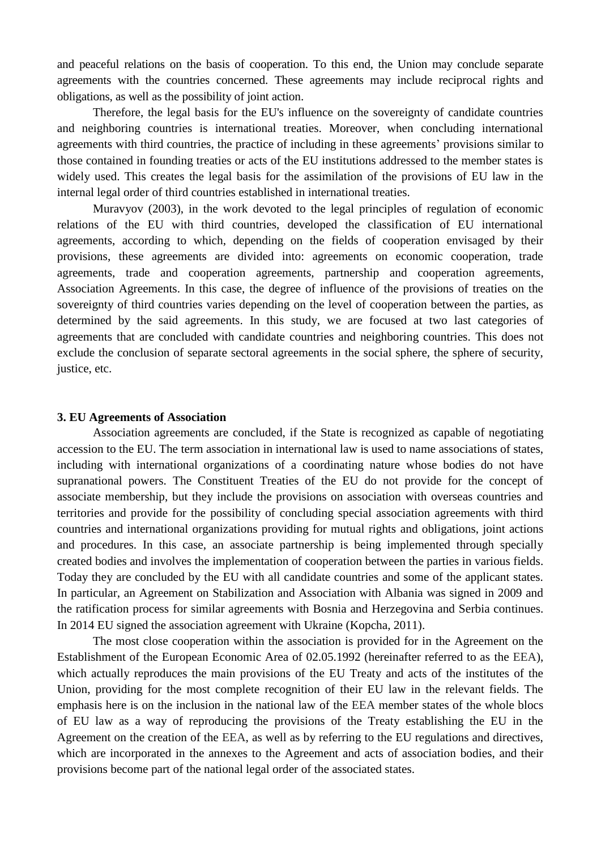and peaceful relations on the basis of cooperation. To this end, the Union may conclude separate agreements with the countries concerned. These agreements may include reciprocal rights and obligations, as well as the possibility of joint action.

Therefore, the legal basis for the EU's influence on the sovereignty of candidate countries and neighboring countries is international treaties. Moreover, when concluding international agreements with third countries, the practice of including in these agreements' provisions similar to those contained in founding treaties or acts of the EU institutions addressed to the member states is widely used. This creates the legal basis for the assimilation of the provisions of EU law in the internal legal order of third countries established in international treaties.

Muravyov (2003), in the work devoted to the legal principles of regulation of economic relations of the EU with third countries, developed the classification of EU international agreements, according to which, depending on the fields of cooperation envisaged by their provisions, these agreements are divided into: agreements on economic cooperation, trade agreements, trade and cooperation agreements, partnership and cooperation agreements, Association Agreements. In this case, the degree of influence of the provisions of treaties on the sovereignty of third countries varies depending on the level of cooperation between the parties, as determined by the said agreements. In this study, we are focused at two last categories of agreements that are concluded with candidate countries and neighboring countries. This does not exclude the conclusion of separate sectoral agreements in the social sphere, the sphere of security, justice, etc.

#### **3. EU Agreements of Association**

Association agreements are concluded, if the State is recognized as capable of negotiating accession to the EU. The term association in international law is used to name associations of states, including with international organizations of a coordinating nature whose bodies do not have supranational powers. The Constituent Treaties of the EU do not provide for the concept of associate membership, but they include the provisions on association with overseas countries and territories and provide for the possibility of concluding special association agreements with third countries and international organizations providing for mutual rights and obligations, joint actions and procedures. In this case, an associate partnership is being implemented through specially created bodies and involves the implementation of cooperation between the parties in various fields. Today they are concluded by the EU with all candidate countries and some of the applicant states. In particular, an Agreement on Stabilization and Association with Albania was signed in 2009 and the ratification process for similar agreements with Bosnia and Herzegovina and Serbia continues. In 2014 EU signed the association agreement with Ukraine (Kopcha, 2011).

The most close cooperation within the association is provided for in the Agreement on the Establishment of the European Economic Area of 02.05.1992 (hereinafter referred to as the EEA), which actually reproduces the main provisions of the EU Treaty and acts of the institutes of the Union, providing for the most complete recognition of their EU law in the relevant fields. The emphasis here is on the inclusion in the national law of the EEA member states of the whole blocs of EU law as a way of reproducing the provisions of the Treaty establishing the EU in the Agreement on the creation of the EEA, as well as by referring to the EU regulations and directives, which are incorporated in the annexes to the Agreement and acts of association bodies, and their provisions become part of the national legal order of the associated states.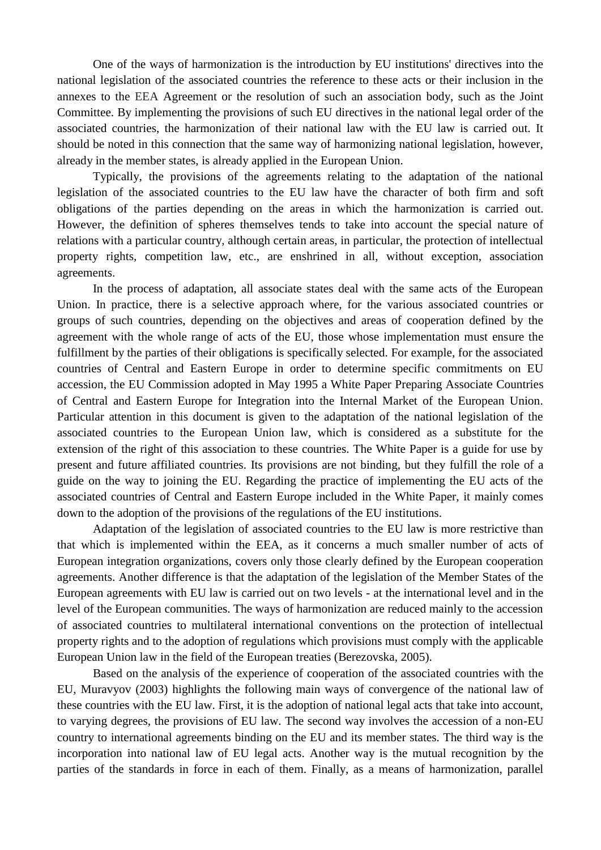One of the ways of harmonization is the introduction by EU institutions' directives into the national legislation of the associated countries the reference to these acts or their inclusion in the annexes to the EEA Agreement or the resolution of such an association body, such as the Joint Committee. By implementing the provisions of such EU directives in the national legal order of the associated countries, the harmonization of their national law with the EU law is carried out. It should be noted in this connection that the same way of harmonizing national legislation, however, already in the member states, is already applied in the European Union.

Typically, the provisions of the agreements relating to the adaptation of the national legislation of the associated countries to the EU law have the character of both firm and soft obligations of the parties depending on the areas in which the harmonization is carried out. However, the definition of spheres themselves tends to take into account the special nature of relations with a particular country, although certain areas, in particular, the protection of intellectual property rights, competition law, etc., are enshrined in all, without exception, association agreements.

In the process of adaptation, all associate states deal with the same acts of the European Union. In practice, there is a selective approach where, for the various associated countries or groups of such countries, depending on the objectives and areas of cooperation defined by the agreement with the whole range of acts of the EU, those whose implementation must ensure the fulfillment by the parties of their obligations is specifically selected. For example, for the associated countries of Central and Eastern Europe in order to determine specific commitments on EU accession, the EU Commission adopted in May 1995 a White Paper Preparing Associate Countries of Central and Eastern Europe for Integration into the Internal Market of the European Union. Particular attention in this document is given to the adaptation of the national legislation of the associated countries to the European Union law, which is considered as a substitute for the extension of the right of this association to these countries. The White Paper is a guide for use by present and future affiliated countries. Its provisions are not binding, but they fulfill the role of a guide on the way to joining the EU. Regarding the practice of implementing the EU acts of the associated countries of Central and Eastern Europe included in the White Paper, it mainly comes down to the adoption of the provisions of the regulations of the EU institutions.

Adaptation of the legislation of associated countries to the EU law is more restrictive than that which is implemented within the EEA, as it concerns a much smaller number of acts of European integration organizations, covers only those clearly defined by the European cooperation agreements. Another difference is that the adaptation of the legislation of the Member States of the European agreements with EU law is carried out on two levels - at the international level and in the level of the European communities. The ways of harmonization are reduced mainly to the accession of associated countries to multilateral international conventions on the protection of intellectual property rights and to the adoption of regulations which provisions must comply with the applicable European Union law in the field of the European treaties (Berezovska, 2005).

Based on the analysis of the experience of cooperation of the associated countries with the EU, Muravyov (2003) highlights the following main ways of convergence of the national law of these countries with the EU law. First, it is the adoption of national legal acts that take into account, to varying degrees, the provisions of EU law. The second way involves the accession of a non-EU country to international agreements binding on the EU and its member states. The third way is the incorporation into national law of EU legal acts. Another way is the mutual recognition by the parties of the standards in force in each of them. Finally, as a means of harmonization, parallel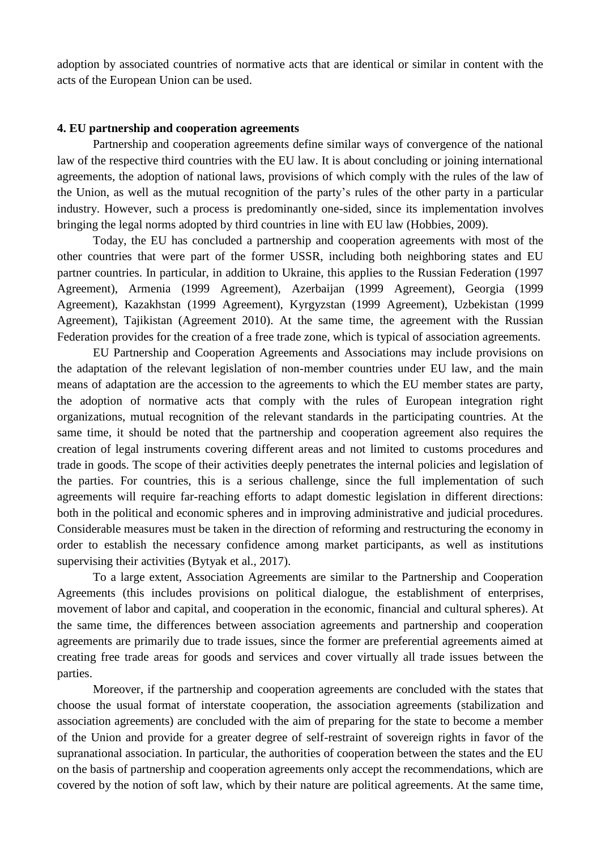adoption by associated countries of normative acts that are identical or similar in content with the acts of the European Union can be used.

## **4. EU partnership and cooperation agreements**

Partnership and cooperation agreements define similar ways of convergence of the national law of the respective third countries with the EU law. It is about concluding or joining international agreements, the adoption of national laws, provisions of which comply with the rules of the law of the Union, as well as the mutual recognition of the party's rules of the other party in a particular industry. However, such a process is predominantly one-sided, since its implementation involves bringing the legal norms adopted by third countries in line with EU law (Hobbies, 2009).

Today, the EU has concluded a partnership and cooperation agreements with most of the other countries that were part of the former USSR, including both neighboring states and EU partner countries. In particular, in addition to Ukraine, this applies to the Russian Federation (1997 Agreement), Armenia (1999 Agreement), Azerbaijan (1999 Agreement), Georgia (1999 Agreement), Kazakhstan (1999 Agreement), Kyrgyzstan (1999 Agreement), Uzbekistan (1999 Agreement), Tajikistan (Agreement 2010). At the same time, the agreement with the Russian Federation provides for the creation of a free trade zone, which is typical of association agreements.

EU Partnership and Cooperation Agreements and Associations may include provisions on the adaptation of the relevant legislation of non-member countries under EU law, and the main means of adaptation are the accession to the agreements to which the EU member states are party, the adoption of normative acts that comply with the rules of European integration right organizations, mutual recognition of the relevant standards in the participating countries. At the same time, it should be noted that the partnership and cooperation agreement also requires the creation of legal instruments covering different areas and not limited to customs procedures and trade in goods. The scope of their activities deeply penetrates the internal policies and legislation of the parties. For countries, this is a serious challenge, since the full implementation of such agreements will require far-reaching efforts to adapt domestic legislation in different directions: both in the political and economic spheres and in improving administrative and judicial procedures. Considerable measures must be taken in the direction of reforming and restructuring the economy in order to establish the necessary confidence among market participants, as well as institutions supervising their activities (Bytyak et al., 2017).

To a large extent, Association Agreements are similar to the Partnership and Cooperation Agreements (this includes provisions on political dialogue, the establishment of enterprises, movement of labor and capital, and cooperation in the economic, financial and cultural spheres). At the same time, the differences between association agreements and partnership and cooperation agreements are primarily due to trade issues, since the former are preferential agreements aimed at creating free trade areas for goods and services and cover virtually all trade issues between the parties.

Moreover, if the partnership and cooperation agreements are concluded with the states that choose the usual format of interstate cooperation, the association agreements (stabilization and association agreements) are concluded with the aim of preparing for the state to become a member of the Union and provide for a greater degree of self-restraint of sovereign rights in favor of the supranational association. In particular, the authorities of cooperation between the states and the EU on the basis of partnership and cooperation agreements only accept the recommendations, which are covered by the notion of soft law, which by their nature are political agreements. At the same time,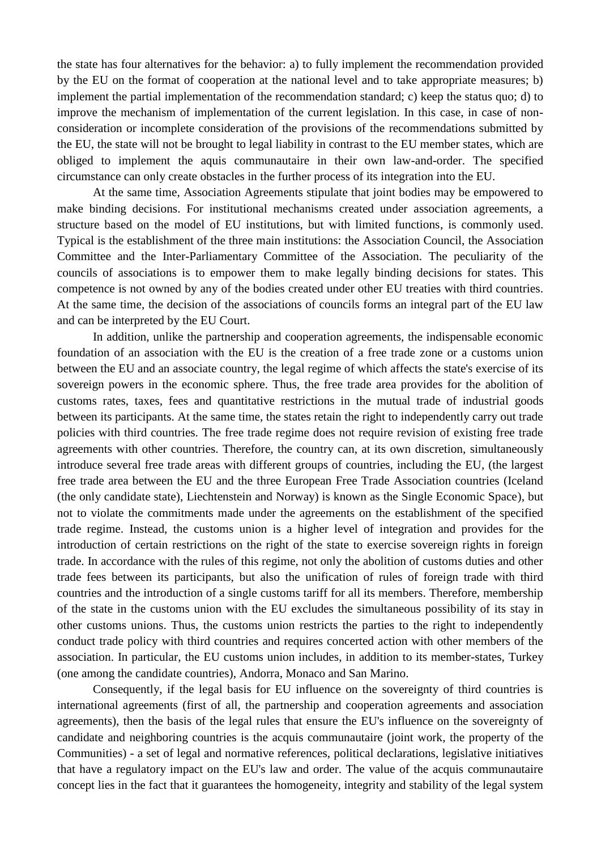the state has four alternatives for the behavior: a) to fully implement the recommendation provided by the EU on the format of cooperation at the national level and to take appropriate measures; b) implement the partial implementation of the recommendation standard; c) keep the status quo; d) to improve the mechanism of implementation of the current legislation. In this case, in case of nonconsideration or incomplete consideration of the provisions of the recommendations submitted by the EU, the state will not be brought to legal liability in contrast to the EU member states, which are obliged to implement the aquis communautaire in their own law-and-order. The specified circumstance can only create obstacles in the further process of its integration into the EU.

At the same time, Association Agreements stipulate that joint bodies may be empowered to make binding decisions. For institutional mechanisms created under association agreements, a structure based on the model of EU institutions, but with limited functions, is commonly used. Typical is the establishment of the three main institutions: the Association Council, the Association Committee and the Inter-Parliamentary Committee of the Association. The peculiarity of the councils of associations is to empower them to make legally binding decisions for states. This competence is not owned by any of the bodies created under other EU treaties with third countries. At the same time, the decision of the associations of councils forms an integral part of the EU law and can be interpreted by the EU Court.

In addition, unlike the partnership and cooperation agreements, the indispensable economic foundation of an association with the EU is the creation of a free trade zone or a customs union between the EU and an associate country, the legal regime of which affects the state's exercise of its sovereign powers in the economic sphere. Thus, the free trade area provides for the abolition of customs rates, taxes, fees and quantitative restrictions in the mutual trade of industrial goods between its participants. At the same time, the states retain the right to independently carry out trade policies with third countries. The free trade regime does not require revision of existing free trade agreements with other countries. Therefore, the country can, at its own discretion, simultaneously introduce several free trade areas with different groups of countries, including the EU, (the largest free trade area between the EU and the three European Free Trade Association countries (Iceland (the only candidate state), Liechtenstein and Norway) is known as the Single Economic Space), but not to violate the commitments made under the agreements on the establishment of the specified trade regime. Instead, the customs union is a higher level of integration and provides for the introduction of certain restrictions on the right of the state to exercise sovereign rights in foreign trade. In accordance with the rules of this regime, not only the abolition of customs duties and other trade fees between its participants, but also the unification of rules of foreign trade with third countries and the introduction of a single customs tariff for all its members. Therefore, membership of the state in the customs union with the EU excludes the simultaneous possibility of its stay in other customs unions. Thus, the customs union restricts the parties to the right to independently conduct trade policy with third countries and requires concerted action with other members of the association. In particular, the EU customs union includes, in addition to its member-states, Turkey (one among the candidate countries), Andorra, Monaco and San Marino.

Consequently, if the legal basis for EU influence on the sovereignty of third countries is international agreements (first of all, the partnership and cooperation agreements and association agreements), then the basis of the legal rules that ensure the EU's influence on the sovereignty of candidate and neighboring countries is the acquis communautaire (joint work, the property of the Communities) - a set of legal and normative references, political declarations, legislative initiatives that have a regulatory impact on the EU's law and order. The value of the acquis communautaire concept lies in the fact that it guarantees the homogeneity, integrity and stability of the legal system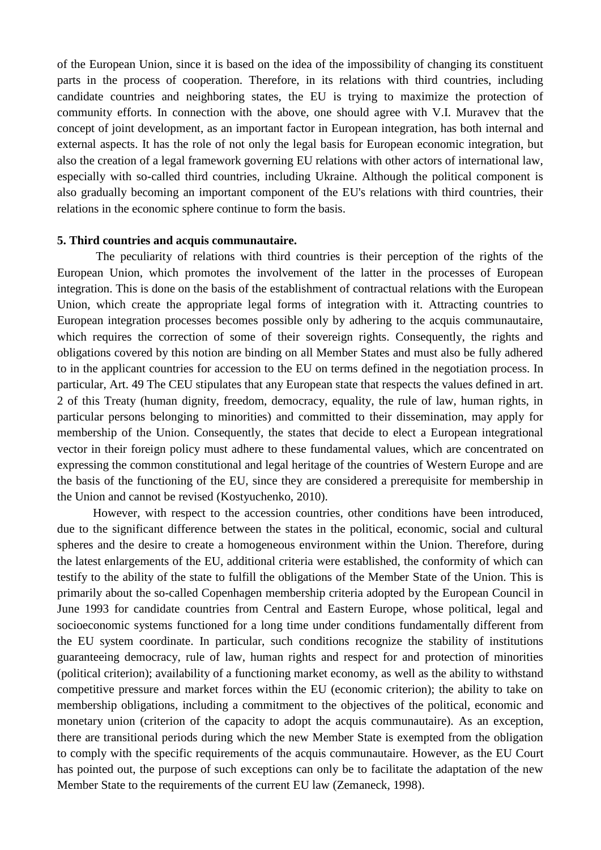of the European Union, since it is based on the idea of the impossibility of changing its constituent parts in the process of cooperation. Therefore, in its relations with third countries, including candidate countries and neighboring states, the EU is trying to maximize the protection of community efforts. In connection with the above, one should agree with V.I. Muravev that the concept of joint development, as an important factor in European integration, has both internal and external aspects. It has the role of not only the legal basis for European economic integration, but also the creation of a legal framework governing EU relations with other actors of international law, especially with so-called third countries, including Ukraine. Although the political component is also gradually becoming an important component of the EU's relations with third countries, their relations in the economic sphere continue to form the basis.

### **5. Third countries and acquis communautaire.**

The peculiarity of relations with third countries is their perception of the rights of the European Union, which promotes the involvement of the latter in the processes of European integration. This is done on the basis of the establishment of contractual relations with the European Union, which create the appropriate legal forms of integration with it. Attracting countries to European integration processes becomes possible only by adhering to the acquis communautaire, which requires the correction of some of their sovereign rights. Consequently, the rights and obligations covered by this notion are binding on all Member States and must also be fully adhered to in the applicant countries for accession to the EU on terms defined in the negotiation process. In particular, Art. 49 The CEU stipulates that any European state that respects the values defined in art. 2 of this Treaty (human dignity, freedom, democracy, equality, the rule of law, human rights, in particular persons belonging to minorities) and committed to their dissemination, may apply for membership of the Union. Consequently, the states that decide to elect a European integrational vector in their foreign policy must adhere to these fundamental values, which are concentrated on expressing the common constitutional and legal heritage of the countries of Western Europe and are the basis of the functioning of the EU, since they are considered a prerequisite for membership in the Union and cannot be revised (Kostyuchenko, 2010).

However, with respect to the accession countries, other conditions have been introduced, due to the significant difference between the states in the political, economic, social and cultural spheres and the desire to create a homogeneous environment within the Union. Therefore, during the latest enlargements of the EU, additional criteria were established, the conformity of which can testify to the ability of the state to fulfill the obligations of the Member State of the Union. This is primarily about the so-called Copenhagen membership criteria adopted by the European Council in June 1993 for candidate countries from Central and Eastern Europe, whose political, legal and socioeconomic systems functioned for a long time under conditions fundamentally different from the EU system coordinate. In particular, such conditions recognize the stability of institutions guaranteeing democracy, rule of law, human rights and respect for and protection of minorities (political criterion); availability of a functioning market economy, as well as the ability to withstand competitive pressure and market forces within the EU (economic criterion); the ability to take on membership obligations, including a commitment to the objectives of the political, economic and monetary union (criterion of the capacity to adopt the acquis communautaire). As an exception, there are transitional periods during which the new Member State is exempted from the obligation to comply with the specific requirements of the acquis communautaire. However, as the EU Court has pointed out, the purpose of such exceptions can only be to facilitate the adaptation of the new Member State to the requirements of the current EU law (Zemaneck, 1998).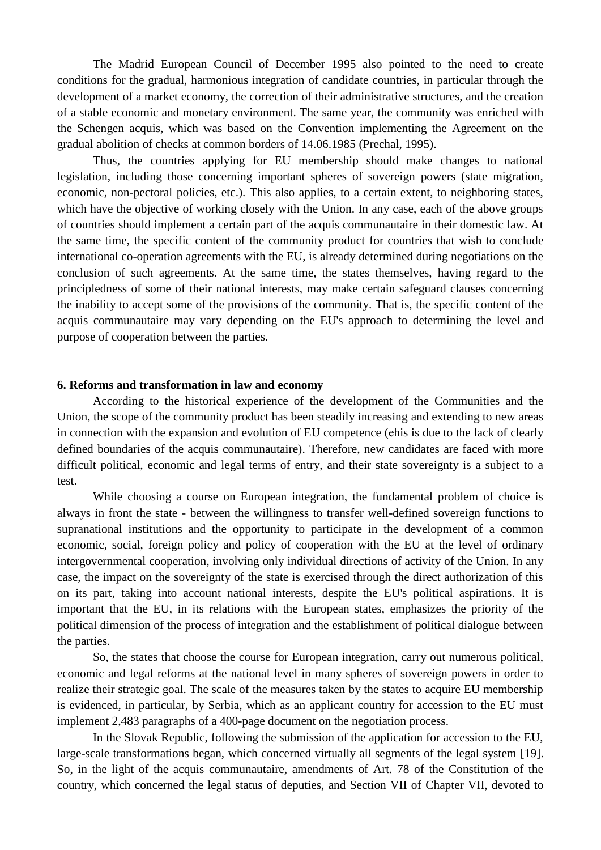The Madrid European Council of December 1995 also pointed to the need to create conditions for the gradual, harmonious integration of candidate countries, in particular through the development of a market economy, the correction of their administrative structures, and the creation of a stable economic and monetary environment. The same year, the community was enriched with the Schengen acquis, which was based on the Convention implementing the Agreement on the gradual abolition of checks at common borders of 14.06.1985 (Prechal, 1995).

Thus, the countries applying for EU membership should make changes to national legislation, including those concerning important spheres of sovereign powers (state migration, economic, non-pectoral policies, etc.). This also applies, to a certain extent, to neighboring states, which have the objective of working closely with the Union. In any case, each of the above groups of countries should implement a certain part of the acquis communautaire in their domestic law. At the same time, the specific content of the community product for countries that wish to conclude international co-operation agreements with the EU, is already determined during negotiations on the conclusion of such agreements. At the same time, the states themselves, having regard to the principledness of some of their national interests, may make certain safeguard clauses concerning the inability to accept some of the provisions of the community. That is, the specific content of the acquis communautaire may vary depending on the EU's approach to determining the level and purpose of cooperation between the parties.

#### **6. Reforms and transformation in law and economy**

According to the historical experience of the development of the Communities and the Union, the scope of the community product has been steadily increasing and extending to new areas in connection with the expansion and evolution of EU competence (еhis is due to the lack of clearly defined boundaries of the acquis communautaire). Therefore, new candidates are faced with more difficult political, economic and legal terms of entry, and their state sovereignty is a subject to a test.

While choosing a course on European integration, the fundamental problem of choice is always in front the state - between the willingness to transfer well-defined sovereign functions to supranational institutions and the opportunity to participate in the development of a common economic, social, foreign policy and policy of cooperation with the EU at the level of ordinary intergovernmental cooperation, involving only individual directions of activity of the Union. In any case, the impact on the sovereignty of the state is exercised through the direct authorization of this on its part, taking into account national interests, despite the EU's political aspirations. It is important that the EU, in its relations with the European states, emphasizes the priority of the political dimension of the process of integration and the establishment of political dialogue between the parties.

So, the states that choose the course for European integration, carry out numerous political, economic and legal reforms at the national level in many spheres of sovereign powers in order to realize their strategic goal. The scale of the measures taken by the states to acquire EU membership is evidenced, in particular, by Serbia, which as an applicant country for accession to the EU must implement 2,483 paragraphs of a 400-page document on the negotiation process.

In the Slovak Republic, following the submission of the application for accession to the EU, large-scale transformations began, which concerned virtually all segments of the legal system [19]. So, in the light of the acquis communautaire, amendments of Art. 78 of the Constitution of the country, which concerned the legal status of deputies, and Section VII of Chapter VII, devoted to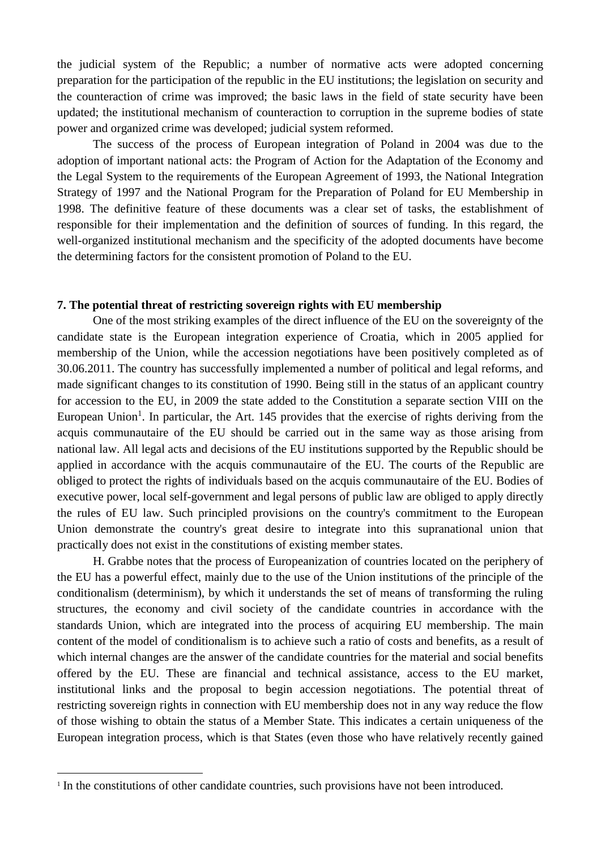the judicial system of the Republic; a number of normative acts were adopted concerning preparation for the participation of the republic in the EU institutions; the legislation on security and the counteraction of crime was improved; the basic laws in the field of state security have been updated; the institutional mechanism of counteraction to corruption in the supreme bodies of state power and organized crime was developed; judicial system reformed.

The success of the process of European integration of Poland in 2004 was due to the adoption of important national acts: the Program of Action for the Adaptation of the Economy and the Legal System to the requirements of the European Agreement of 1993, the National Integration Strategy of 1997 and the National Program for the Preparation of Poland for EU Membership in 1998. The definitive feature of these documents was a clear set of tasks, the establishment of responsible for their implementation and the definition of sources of funding. In this regard, the well-organized institutional mechanism and the specificity of the adopted documents have become the determining factors for the consistent promotion of Poland to the EU.

## **7. The potential threat of restricting sovereign rights with EU membership**

One of the most striking examples of the direct influence of the EU on the sovereignty of the candidate state is the European integration experience of Croatia, which in 2005 applied for membership of the Union, while the accession negotiations have been positively completed as of 30.06.2011. The country has successfully implemented a number of political and legal reforms, and made significant changes to its constitution of 1990. Being still in the status of an applicant country for accession to the EU, in 2009 the state added to the Constitution a separate section VIII on the European Union<sup>1</sup>. In particular, the Art. 145 provides that the exercise of rights deriving from the acquis communautaire of the EU should be carried out in the same way as those arising from national law. All legal acts and decisions of the EU institutions supported by the Republic should be applied in accordance with the acquis communautaire of the EU. The courts of the Republic are obliged to protect the rights of individuals based on the acquis communautaire of the EU. Bodies of executive power, local self-government and legal persons of public law are obliged to apply directly the rules of EU law. Such principled provisions on the country's commitment to the European Union demonstrate the country's great desire to integrate into this supranational union that practically does not exist in the constitutions of existing member states.

H. Grabbe notes that the process of Europeanization of countries located on the periphery of the EU has a powerful effect, mainly due to the use of the Union institutions of the principle of the conditionalism (determinism), by which it understands the set of means of transforming the ruling structures, the economy and civil society of the candidate countries in accordance with the standards Union, which are integrated into the process of acquiring EU membership. The main content of the model of conditionalism is to achieve such a ratio of costs and benefits, as a result of which internal changes are the answer of the candidate countries for the material and social benefits offered by the EU. These are financial and technical assistance, access to the EU market, institutional links and the proposal to begin accession negotiations. The potential threat of restricting sovereign rights in connection with EU membership does not in any way reduce the flow of those wishing to obtain the status of a Member State. This indicates a certain uniqueness of the European integration process, which is that States (even those who have relatively recently gained

1

<sup>&</sup>lt;sup>1</sup> In the constitutions of other candidate countries, such provisions have not been introduced.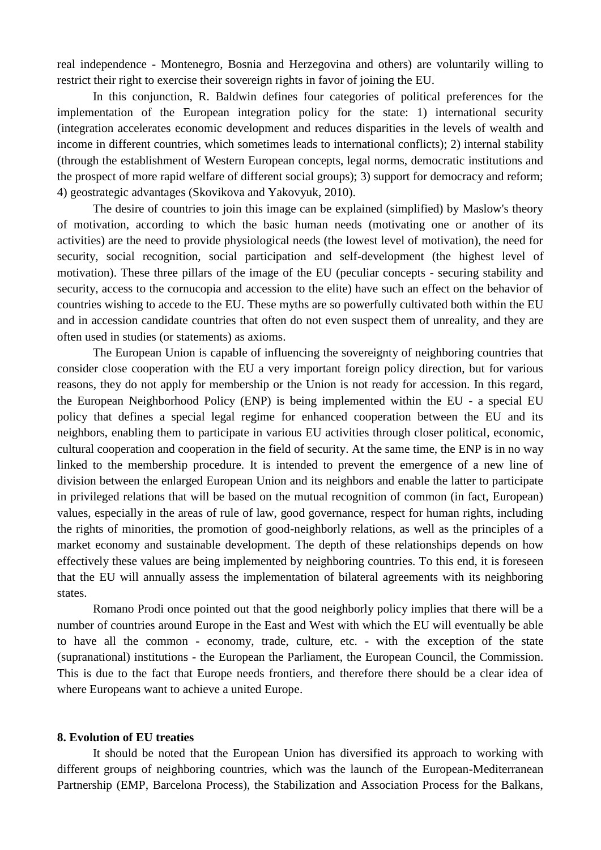real independence - Montenegro, Bosnia and Herzegovina and others) are voluntarily willing to restrict their right to exercise their sovereign rights in favor of joining the EU.

In this conjunction, R. Baldwin defines four categories of political preferences for the implementation of the European integration policy for the state: 1) international security (integration accelerates economic development and reduces disparities in the levels of wealth and income in different countries, which sometimes leads to international conflicts); 2) internal stability (through the establishment of Western European concepts, legal norms, democratic institutions and the prospect of more rapid welfare of different social groups); 3) support for democracy and reform; 4) geostrategic advantages (Skovikova and Yakovyuk, 2010).

The desire of countries to join this image can be explained (simplified) by Maslow's theory of motivation, according to which the basic human needs (motivating one or another of its activities) are the need to provide physiological needs (the lowest level of motivation), the need for security, social recognition, social participation and self-development (the highest level of motivation). These three pillars of the image of the EU (peculiar concepts - securing stability and security, access to the cornucopia and accession to the elite) have such an effect on the behavior of countries wishing to accede to the EU. These myths are so powerfully cultivated both within the EU and in accession candidate countries that often do not even suspect them of unreality, and they are often used in studies (or statements) as axioms.

The European Union is capable of influencing the sovereignty of neighboring countries that consider close cooperation with the EU a very important foreign policy direction, but for various reasons, they do not apply for membership or the Union is not ready for accession. In this regard, the European Neighborhood Policy (ENP) is being implemented within the EU - a special EU policy that defines a special legal regime for enhanced cooperation between the EU and its neighbors, enabling them to participate in various EU activities through closer political, economic, cultural cooperation and cooperation in the field of security. At the same time, the ENP is in no way linked to the membership procedure. It is intended to prevent the emergence of a new line of division between the enlarged European Union and its neighbors and enable the latter to participate in privileged relations that will be based on the mutual recognition of common (in fact, European) values, especially in the areas of rule of law, good governance, respect for human rights, including the rights of minorities, the promotion of good-neighborly relations, as well as the principles of a market economy and sustainable development. The depth of these relationships depends on how effectively these values are being implemented by neighboring countries. To this end, it is foreseen that the EU will annually assess the implementation of bilateral agreements with its neighboring states.

Romano Prodi once pointed out that the good neighborly policy implies that there will be a number of countries around Europe in the East and West with which the EU will eventually be able to have all the common - economy, trade, culture, etc. - with the exception of the state (supranational) institutions - the European the Parliament, the European Council, the Commission. This is due to the fact that Europe needs frontiers, and therefore there should be a clear idea of where Europeans want to achieve a united Europe.

#### **8. Evolution of EU treaties**

It should be noted that the European Union has diversified its approach to working with different groups of neighboring countries, which was the launch of the European-Mediterranean Partnership (EMP, Barcelona Process), the Stabilization and Association Process for the Balkans,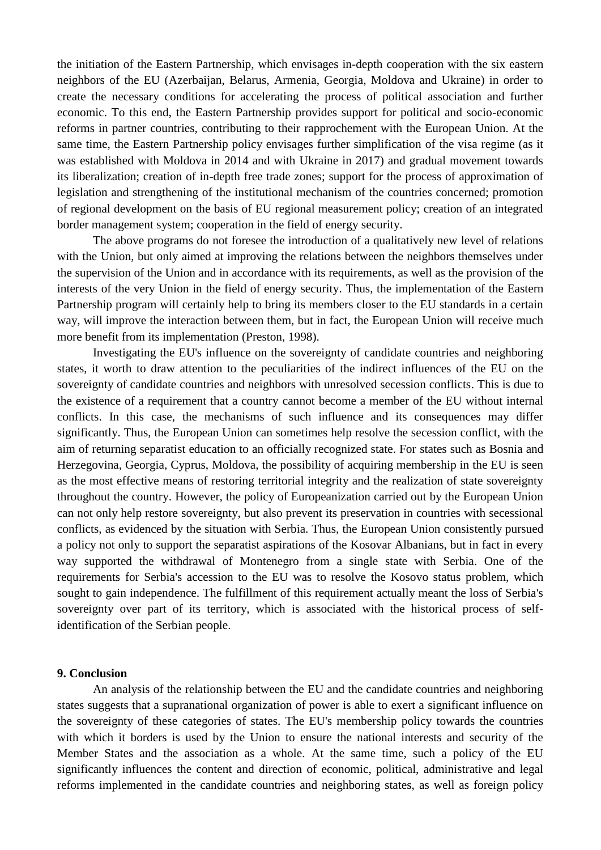the initiation of the Eastern Partnership, which envisages in-depth cooperation with the six eastern neighbors of the EU (Azerbaijan, Belarus, Armenia, Georgia, Moldova and Ukraine) in order to create the necessary conditions for accelerating the process of political association and further economic. To this end, the Eastern Partnership provides support for political and socio-economic reforms in partner countries, contributing to their rapprochement with the European Union. At the same time, the Eastern Partnership policy envisages further simplification of the visa regime (as it was established with Moldova in 2014 and with Ukraine in 2017) and gradual movement towards its liberalization; creation of in-depth free trade zones; support for the process of approximation of legislation and strengthening of the institutional mechanism of the countries concerned; promotion of regional development on the basis of EU regional measurement policy; creation of an integrated border management system; cooperation in the field of energy security.

The above programs do not foresee the introduction of a qualitatively new level of relations with the Union, but only aimed at improving the relations between the neighbors themselves under the supervision of the Union and in accordance with its requirements, as well as the provision of the interests of the very Union in the field of energy security. Thus, the implementation of the Eastern Partnership program will certainly help to bring its members closer to the EU standards in a certain way, will improve the interaction between them, but in fact, the European Union will receive much more benefit from its implementation (Preston, 1998).

Investigating the EU's influence on the sovereignty of candidate countries and neighboring states, it worth to draw attention to the peculiarities of the indirect influences of the EU on the sovereignty of candidate countries and neighbors with unresolved secession conflicts. This is due to the existence of a requirement that a country cannot become a member of the EU without internal conflicts. In this case, the mechanisms of such influence and its consequences may differ significantly. Thus, the European Union can sometimes help resolve the secession conflict, with the aim of returning separatist education to an officially recognized state. For states such as Bosnia and Herzegovina, Georgia, Cyprus, Moldova, the possibility of acquiring membership in the EU is seen as the most effective means of restoring territorial integrity and the realization of state sovereignty throughout the country. However, the policy of Europeanization carried out by the European Union can not only help restore sovereignty, but also prevent its preservation in countries with secessional conflicts, as evidenced by the situation with Serbia. Thus, the European Union consistently pursued a policy not only to support the separatist aspirations of the Kosovar Albanians, but in fact in every way supported the withdrawal of Montenegro from a single state with Serbia. One of the requirements for Serbia's accession to the EU was to resolve the Kosovo status problem, which sought to gain independence. The fulfillment of this requirement actually meant the loss of Serbia's sovereignty over part of its territory, which is associated with the historical process of selfidentification of the Serbian people.

#### **9. Conclusion**

An analysis of the relationship between the EU and the candidate countries and neighboring states suggests that a supranational organization of power is able to exert a significant influence on the sovereignty of these categories of states. The EU's membership policy towards the countries with which it borders is used by the Union to ensure the national interests and security of the Member States and the association as a whole. At the same time, such a policy of the EU significantly influences the content and direction of economic, political, administrative and legal reforms implemented in the candidate countries and neighboring states, as well as foreign policy